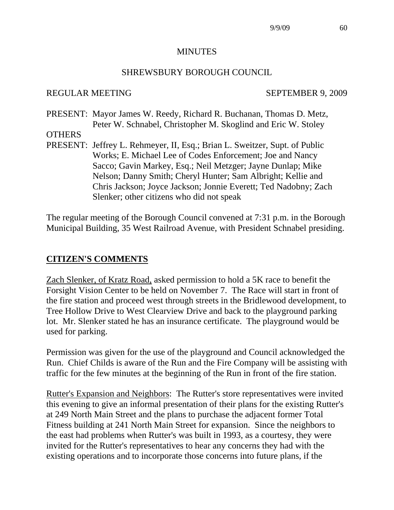#### **MINUTES**

#### SHREWSBURY BOROUGH COUNCIL

#### REGULAR MEETING SEPTEMBER 9, 2009

- PRESENT: Mayor James W. Reedy, Richard R. Buchanan, Thomas D. Metz, Peter W. Schnabel, Christopher M. Skoglind and Eric W. Stoley
- **OTHERS**
- PRESENT: Jeffrey L. Rehmeyer, II, Esq.; Brian L. Sweitzer, Supt. of Public Works; E. Michael Lee of Codes Enforcement; Joe and Nancy Sacco; Gavin Markey, Esq.; Neil Metzger; Jayne Dunlap; Mike Nelson; Danny Smith; Cheryl Hunter; Sam Albright; Kellie and Chris Jackson; Joyce Jackson; Jonnie Everett; Ted Nadobny; Zach Slenker; other citizens who did not speak

The regular meeting of the Borough Council convened at 7:31 p.m. in the Borough Municipal Building, 35 West Railroad Avenue, with President Schnabel presiding.

#### **CITIZEN'S COMMENTS**

Zach Slenker, of Kratz Road, asked permission to hold a 5K race to benefit the Forsight Vision Center to be held on November 7. The Race will start in front of the fire station and proceed west through streets in the Bridlewood development, to Tree Hollow Drive to West Clearview Drive and back to the playground parking lot. Mr. Slenker stated he has an insurance certificate. The playground would be used for parking.

Permission was given for the use of the playground and Council acknowledged the Run. Chief Childs is aware of the Run and the Fire Company will be assisting with traffic for the few minutes at the beginning of the Run in front of the fire station.

Rutter's Expansion and Neighbors: The Rutter's store representatives were invited this evening to give an informal presentation of their plans for the existing Rutter's at 249 North Main Street and the plans to purchase the adjacent former Total Fitness building at 241 North Main Street for expansion. Since the neighbors to the east had problems when Rutter's was built in 1993, as a courtesy, they were invited for the Rutter's representatives to hear any concerns they had with the existing operations and to incorporate those concerns into future plans, if the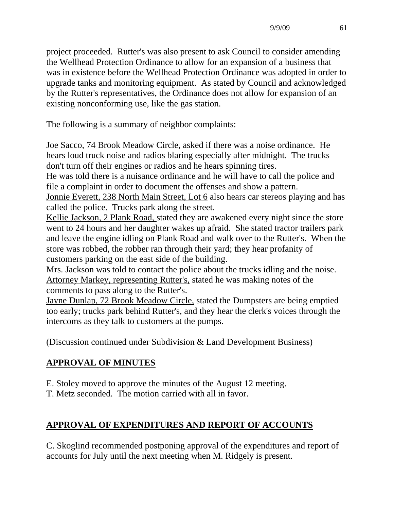project proceeded. Rutter's was also present to ask Council to consider amending the Wellhead Protection Ordinance to allow for an expansion of a business that was in existence before the Wellhead Protection Ordinance was adopted in order to upgrade tanks and monitoring equipment. As stated by Council and acknowledged by the Rutter's representatives, the Ordinance does not allow for expansion of an existing nonconforming use, like the gas station.

The following is a summary of neighbor complaints:

Joe Sacco, 74 Brook Meadow Circle, asked if there was a noise ordinance. He hears loud truck noise and radios blaring especially after midnight. The trucks don't turn off their engines or radios and he hears spinning tires.

He was told there is a nuisance ordinance and he will have to call the police and file a complaint in order to document the offenses and show a pattern.

Jonnie Everett, 238 North Main Street, Lot 6 also hears car stereos playing and has called the police. Trucks park along the street.

Kellie Jackson, 2 Plank Road, stated they are awakened every night since the store went to 24 hours and her daughter wakes up afraid. She stated tractor trailers park and leave the engine idling on Plank Road and walk over to the Rutter's. When the store was robbed, the robber ran through their yard; they hear profanity of customers parking on the east side of the building.

Mrs. Jackson was told to contact the police about the trucks idling and the noise. Attorney Markey, representing Rutter's, stated he was making notes of the comments to pass along to the Rutter's.

Jayne Dunlap, 72 Brook Meadow Circle, stated the Dumpsters are being emptied too early; trucks park behind Rutter's, and they hear the clerk's voices through the intercoms as they talk to customers at the pumps.

(Discussion continued under Subdivision & Land Development Business)

# **APPROVAL OF MINUTES**

E. Stoley moved to approve the minutes of the August 12 meeting.

T. Metz seconded. The motion carried with all in favor.

# **APPROVAL OF EXPENDITURES AND REPORT OF ACCOUNTS**

C. Skoglind recommended postponing approval of the expenditures and report of accounts for July until the next meeting when M. Ridgely is present.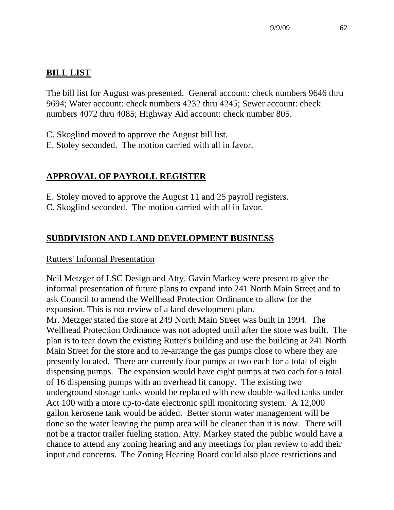# **BILL LIST**

The bill list for August was presented. General account: check numbers 9646 thru 9694; Water account: check numbers 4232 thru 4245; Sewer account: check numbers 4072 thru 4085; Highway Aid account: check number 805.

- C. Skoglind moved to approve the August bill list.
- E. Stoley seconded. The motion carried with all in favor.

# **APPROVAL OF PAYROLL REGISTER**

- E. Stoley moved to approve the August 11 and 25 payroll registers.
- C. Skoglind seconded. The motion carried with all in favor.

# **SUBDIVISION AND LAND DEVELOPMENT BUSINESS**

# Rutters' Informal Presentation

Neil Metzger of LSC Design and Atty. Gavin Markey were present to give the informal presentation of future plans to expand into 241 North Main Street and to ask Council to amend the Wellhead Protection Ordinance to allow for the expansion. This is not review of a land development plan.

Mr. Metzger stated the store at 249 North Main Street was built in 1994. The Wellhead Protection Ordinance was not adopted until after the store was built. The plan is to tear down the existing Rutter's building and use the building at 241 North Main Street for the store and to re-arrange the gas pumps close to where they are presently located. There are currently four pumps at two each for a total of eight dispensing pumps. The expansion would have eight pumps at two each for a total of 16 dispensing pumps with an overhead lit canopy. The existing two underground storage tanks would be replaced with new double-walled tanks under Act 100 with a more up-to-date electronic spill monitoring system. A 12,000 gallon kerosene tank would be added. Better storm water management will be done so the water leaving the pump area will be cleaner than it is now. There will not be a tractor trailer fueling station. Atty. Markey stated the public would have a chance to attend any zoning hearing and any meetings for plan review to add their input and concerns. The Zoning Hearing Board could also place restrictions and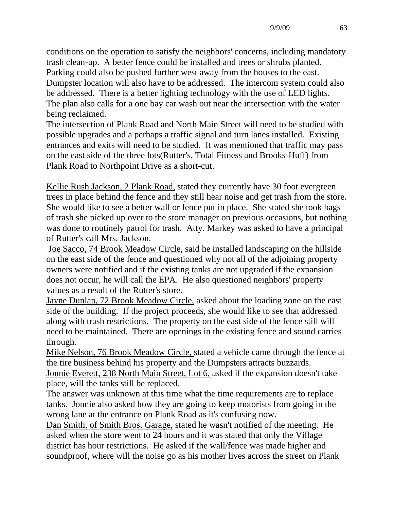conditions on the operation to satisfy the neighbors' concerns, including mandatory trash clean-up. A better fence could be installed and trees or shrubs planted. Parking could also be pushed further west away from the houses to the east. Dumpster location will also have to be addressed. The intercom system could also be addressed. There is a better lighting technology with the use of LED lights. The plan also calls for a one bay car wash out near the intersection with the water

being reclaimed.

The intersection of Plank Road and North Main Street will need to be studied with possible upgrades and a perhaps a traffic signal and turn lanes installed. Existing entrances and exits will need to be studied. It was mentioned that traffic may pass on the east side of the three lots(Rutter's, Total Fitness and Brooks-Huff) from Plank Road to Northpoint Drive as a short-cut.

Kellie Rush Jackson, 2 Plank Road, stated they currently have 30 foot evergreen trees in place behind the fence and they still hear noise and get trash from the store. She would like to see a better wall or fence put in place. She stated she took bags of trash she picked up over to the store manager on previous occasions, but nothing was done to routinely patrol for trash. Atty. Markey was asked to have a principal of Rutter's call Mrs. Jackson.

 Joe Sacco, 74 Brook Meadow Circle, said he installed landscaping on the hillside on the east side of the fence and questioned why not all of the adjoining property owners were notified and if the existing tanks are not upgraded if the expansion does not occur, he will call the EPA. He also questioned neighbors' property values as a result of the Rutter's store.

Jayne Dunlap, 72 Brook Meadow Circle, asked about the loading zone on the east side of the building. If the project proceeds, she would like to see that addressed along with trash restrictions. The property on the east side of the fence still will need to be maintained. There are openings in the existing fence and sound carries through.

Mike Nelson, 76 Brook Meadow Circle, stated a vehicle came through the fence at the tire business behind his property and the Dumpsters attracts buzzards.

Jonnie Everett, 238 North Main Street, Lot 6, asked if the expansion doesn't take place, will the tanks still be replaced.

The answer was unknown at this time what the time requirements are to replace tanks. Jonnie also asked how they are going to keep motorists from going in the wrong lane at the entrance on Plank Road as it's confusing now.

Dan Smith, of Smith Bros. Garage, stated he wasn't notified of the meeting. He asked when the store went to 24 hours and it was stated that only the Village district has hour restrictions. He asked if the wall/fence was made higher and soundproof, where will the noise go as his mother lives across the street on Plank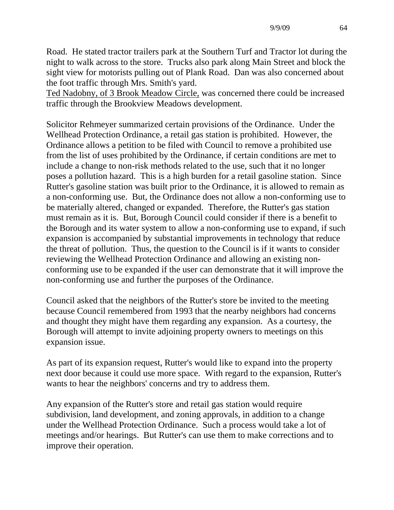Road. He stated tractor trailers park at the Southern Turf and Tractor lot during the night to walk across to the store. Trucks also park along Main Street and block the sight view for motorists pulling out of Plank Road. Dan was also concerned about the foot traffic through Mrs. Smith's yard.

Ted Nadobny, of 3 Brook Meadow Circle, was concerned there could be increased traffic through the Brookview Meadows development.

Solicitor Rehmeyer summarized certain provisions of the Ordinance. Under the Wellhead Protection Ordinance, a retail gas station is prohibited. However, the Ordinance allows a petition to be filed with Council to remove a prohibited use from the list of uses prohibited by the Ordinance, if certain conditions are met to include a change to non-risk methods related to the use, such that it no longer poses a pollution hazard. This is a high burden for a retail gasoline station. Since Rutter's gasoline station was built prior to the Ordinance, it is allowed to remain as a non-conforming use. But, the Ordinance does not allow a non-conforming use to be materially altered, changed or expanded. Therefore, the Rutter's gas station must remain as it is. But, Borough Council could consider if there is a benefit to the Borough and its water system to allow a non-conforming use to expand, if such expansion is accompanied by substantial improvements in technology that reduce the threat of pollution. Thus, the question to the Council is if it wants to consider reviewing the Wellhead Protection Ordinance and allowing an existing nonconforming use to be expanded if the user can demonstrate that it will improve the non-conforming use and further the purposes of the Ordinance.

Council asked that the neighbors of the Rutter's store be invited to the meeting because Council remembered from 1993 that the nearby neighbors had concerns and thought they might have them regarding any expansion. As a courtesy, the Borough will attempt to invite adjoining property owners to meetings on this expansion issue.

As part of its expansion request, Rutter's would like to expand into the property next door because it could use more space. With regard to the expansion, Rutter's wants to hear the neighbors' concerns and try to address them.

Any expansion of the Rutter's store and retail gas station would require subdivision, land development, and zoning approvals, in addition to a change under the Wellhead Protection Ordinance. Such a process would take a lot of meetings and/or hearings. But Rutter's can use them to make corrections and to improve their operation.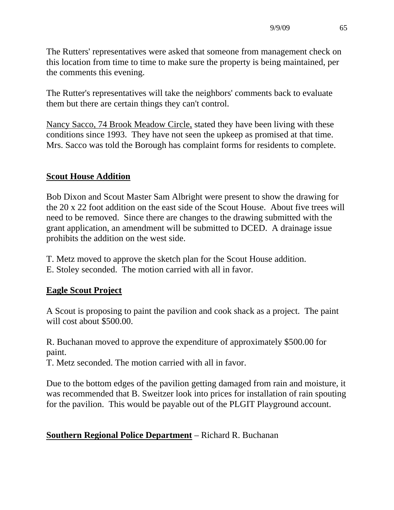The Rutters' representatives were asked that someone from management check on this location from time to time to make sure the property is being maintained, per the comments this evening.

The Rutter's representatives will take the neighbors' comments back to evaluate them but there are certain things they can't control.

Nancy Sacco, 74 Brook Meadow Circle, stated they have been living with these conditions since 1993. They have not seen the upkeep as promised at that time. Mrs. Sacco was told the Borough has complaint forms for residents to complete.

# **Scout House Addition**

Bob Dixon and Scout Master Sam Albright were present to show the drawing for the 20 x 22 foot addition on the east side of the Scout House. About five trees will need to be removed. Since there are changes to the drawing submitted with the grant application, an amendment will be submitted to DCED. A drainage issue prohibits the addition on the west side.

- T. Metz moved to approve the sketch plan for the Scout House addition.
- E. Stoley seconded. The motion carried with all in favor.

# **Eagle Scout Project**

A Scout is proposing to paint the pavilion and cook shack as a project. The paint will cost about \$500.00.

R. Buchanan moved to approve the expenditure of approximately \$500.00 for paint.

T. Metz seconded. The motion carried with all in favor.

Due to the bottom edges of the pavilion getting damaged from rain and moisture, it was recommended that B. Sweitzer look into prices for installation of rain spouting for the pavilion. This would be payable out of the PLGIT Playground account.

# **Southern Regional Police Department** – Richard R. Buchanan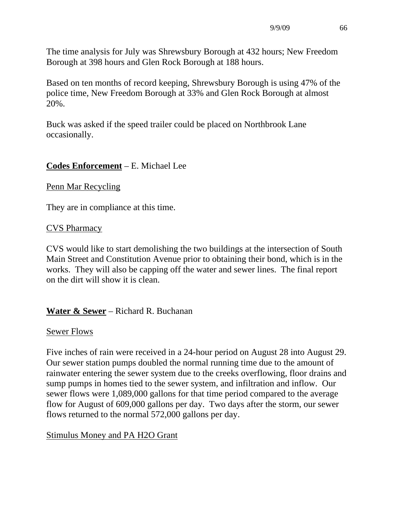The time analysis for July was Shrewsbury Borough at 432 hours; New Freedom Borough at 398 hours and Glen Rock Borough at 188 hours.

Based on ten months of record keeping, Shrewsbury Borough is using 47% of the police time, New Freedom Borough at 33% and Glen Rock Borough at almost 20%.

Buck was asked if the speed trailer could be placed on Northbrook Lane occasionally.

#### **Codes Enforcement** – E. Michael Lee

#### Penn Mar Recycling

They are in compliance at this time.

#### CVS Pharmacy

CVS would like to start demolishing the two buildings at the intersection of South Main Street and Constitution Avenue prior to obtaining their bond, which is in the works. They will also be capping off the water and sewer lines. The final report on the dirt will show it is clean.

#### **Water & Sewer** – Richard R. Buchanan

#### Sewer Flows

Five inches of rain were received in a 24-hour period on August 28 into August 29. Our sewer station pumps doubled the normal running time due to the amount of rainwater entering the sewer system due to the creeks overflowing, floor drains and sump pumps in homes tied to the sewer system, and infiltration and inflow. Our sewer flows were 1,089,000 gallons for that time period compared to the average flow for August of 609,000 gallons per day. Two days after the storm, our sewer flows returned to the normal 572,000 gallons per day.

#### Stimulus Money and PA H2O Grant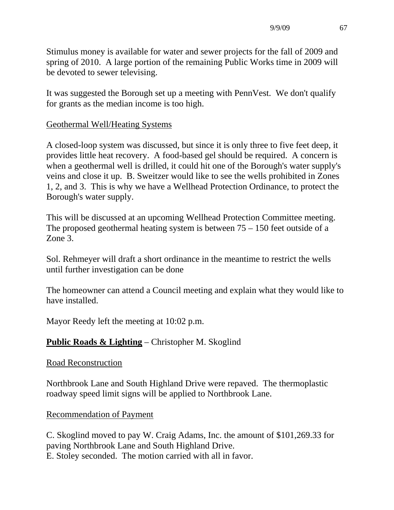Stimulus money is available for water and sewer projects for the fall of 2009 and spring of 2010. A large portion of the remaining Public Works time in 2009 will be devoted to sewer televising.

It was suggested the Borough set up a meeting with PennVest. We don't qualify for grants as the median income is too high.

#### Geothermal Well/Heating Systems

A closed-loop system was discussed, but since it is only three to five feet deep, it provides little heat recovery. A food-based gel should be required. A concern is when a geothermal well is drilled, it could hit one of the Borough's water supply's veins and close it up. B. Sweitzer would like to see the wells prohibited in Zones 1, 2, and 3. This is why we have a Wellhead Protection Ordinance, to protect the Borough's water supply.

This will be discussed at an upcoming Wellhead Protection Committee meeting. The proposed geothermal heating system is between 75 – 150 feet outside of a Zone 3.

Sol. Rehmeyer will draft a short ordinance in the meantime to restrict the wells until further investigation can be done

The homeowner can attend a Council meeting and explain what they would like to have installed.

Mayor Reedy left the meeting at 10:02 p.m.

# **Public Roads & Lighting** – Christopher M. Skoglind

#### Road Reconstruction

Northbrook Lane and South Highland Drive were repaved. The thermoplastic roadway speed limit signs will be applied to Northbrook Lane.

# Recommendation of Payment

C. Skoglind moved to pay W. Craig Adams, Inc. the amount of \$101,269.33 for paving Northbrook Lane and South Highland Drive. E. Stoley seconded. The motion carried with all in favor.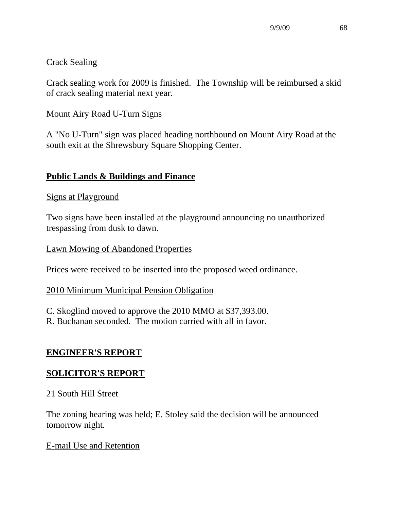#### Crack Sealing

Crack sealing work for 2009 is finished. The Township will be reimbursed a skid of crack sealing material next year.

#### Mount Airy Road U-Turn Signs

A "No U-Turn" sign was placed heading northbound on Mount Airy Road at the south exit at the Shrewsbury Square Shopping Center.

# **Public Lands & Buildings and Finance**

#### Signs at Playground

Two signs have been installed at the playground announcing no unauthorized trespassing from dusk to dawn.

#### Lawn Mowing of Abandoned Properties

Prices were received to be inserted into the proposed weed ordinance.

#### 2010 Minimum Municipal Pension Obligation

C. Skoglind moved to approve the 2010 MMO at \$37,393.00.

R. Buchanan seconded. The motion carried with all in favor.

# **ENGINEER'S REPORT**

# **SOLICITOR'S REPORT**

#### 21 South Hill Street

The zoning hearing was held; E. Stoley said the decision will be announced tomorrow night.

#### E-mail Use and Retention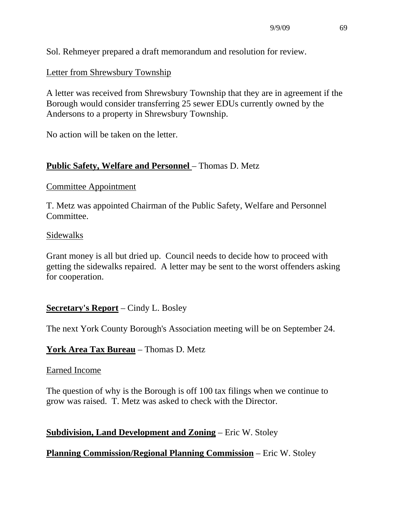Sol. Rehmeyer prepared a draft memorandum and resolution for review.

# Letter from Shrewsbury Township

A letter was received from Shrewsbury Township that they are in agreement if the Borough would consider transferring 25 sewer EDUs currently owned by the Andersons to a property in Shrewsbury Township.

No action will be taken on the letter.

# **Public Safety, Welfare and Personnel – Thomas D. Metz**

#### Committee Appointment

T. Metz was appointed Chairman of the Public Safety, Welfare and Personnel Committee.

#### Sidewalks

Grant money is all but dried up. Council needs to decide how to proceed with getting the sidewalks repaired. A letter may be sent to the worst offenders asking for cooperation.

# **Secretary's Report** – Cindy L. Bosley

The next York County Borough's Association meeting will be on September 24.

# **York Area Tax Bureau** – Thomas D. Metz

#### Earned Income

The question of why is the Borough is off 100 tax filings when we continue to grow was raised. T. Metz was asked to check with the Director.

# **Subdivision, Land Development and Zoning** – Eric W. Stoley

# **Planning Commission/Regional Planning Commission** – Eric W. Stoley